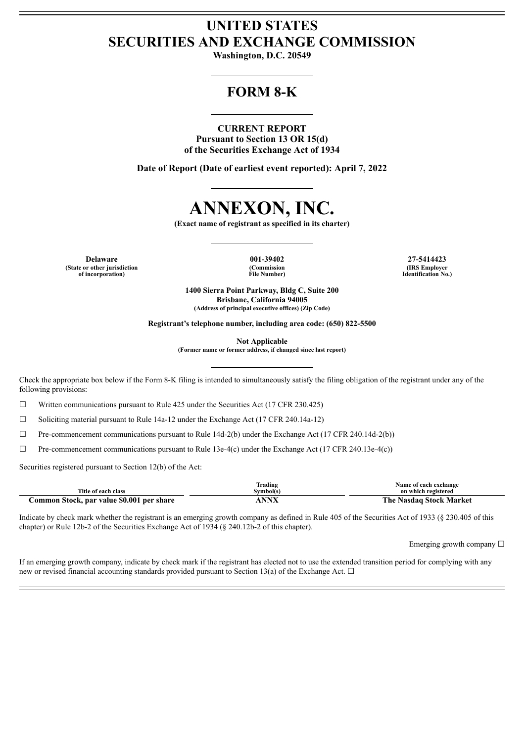# **UNITED STATES SECURITIES AND EXCHANGE COMMISSION**

**Washington, D.C. 20549**

# **FORM 8-K**

# **CURRENT REPORT**

**Pursuant to Section 13 OR 15(d) of the Securities Exchange Act of 1934**

**Date of Report (Date of earliest event reported): April 7, 2022**



**(Exact name of registrant as specified in its charter)**

**Delaware 001-39402 27-5414423 (State or other jurisdiction of incorporation)**

**(Commission File Number)**

**(IRS Employer Identification No.)**

**1400 Sierra Point Parkway, Bldg C, Suite 200 Brisbane, California 94005 (Address of principal executive offices) (Zip Code)**

**Registrant's telephone number, including area code: (650) 822-5500**

**Not Applicable**

**(Former name or former address, if changed since last report)**

Check the appropriate box below if the Form 8-K filing is intended to simultaneously satisfy the filing obligation of the registrant under any of the following provisions:

☐ Written communications pursuant to Rule 425 under the Securities Act (17 CFR 230.425)

☐ Soliciting material pursuant to Rule 14a-12 under the Exchange Act (17 CFR 240.14a-12)

 $\Box$  Pre-commencement communications pursuant to Rule 14d-2(b) under the Exchange Act (17 CFR 240.14d-2(b))

 $\Box$  Pre-commencement communications pursuant to Rule 13e-4(c) under the Exchange Act (17 CFR 240.13e-4(c))

Securities registered pursuant to Section 12(b) of the Act:

|                                           | Frading      | Name of each exchange                               |
|-------------------------------------------|--------------|-----------------------------------------------------|
| Title of each class                       | Svmbol(s`    | on which registered                                 |
| Common Stock, par value \$0.001 per share | <b>NINIV</b> | The $\overline{\phantom{a}}$<br>Nasdag Stock Market |

Indicate by check mark whether the registrant is an emerging growth company as defined in Rule 405 of the Securities Act of 1933 (§ 230.405 of this chapter) or Rule 12b-2 of the Securities Exchange Act of 1934 (§ 240.12b-2 of this chapter).

Emerging growth company □

If an emerging growth company, indicate by check mark if the registrant has elected not to use the extended transition period for complying with any new or revised financial accounting standards provided pursuant to Section 13(a) of the Exchange Act.  $\Box$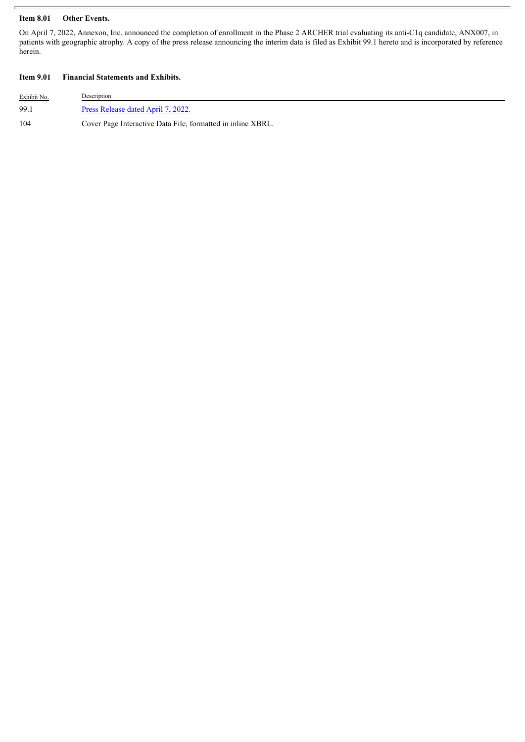# **Item 8.01 Other Events.**

On April 7, 2022, Annexon, Inc. announced the completion of enrollment in the Phase 2 ARCHER trial evaluating its anti-C1q candidate, ANX007, in patients with geographic atrophy. A copy of the press release announcing the interim data is filed as Exhibit 99.1 hereto and is incorporated by reference herein.

# **Item 9.01 Financial Statements and Exhibits.**

| Exhibit No. | Description                                                 |
|-------------|-------------------------------------------------------------|
| 99.1        | Press Release dated April 7, 2022.                          |
| 104         | Cover Page Interactive Data File, formatted in inline XBRL. |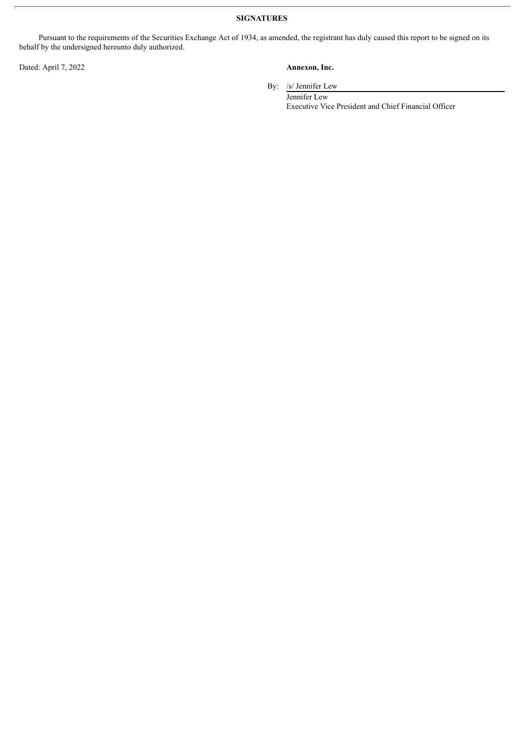**SIGNATURES**

Pursuant to the requirements of the Securities Exchange Act of 1934, as amended, the registrant has duly caused this report to be signed on its behalf by the undersigned hereunto duly authorized.

Dated: April 7, 2022 **Annexon, Inc.**

By: /s/ Jennifer Lew

Jennifer Lew Executive Vice President and Chief Financial Officer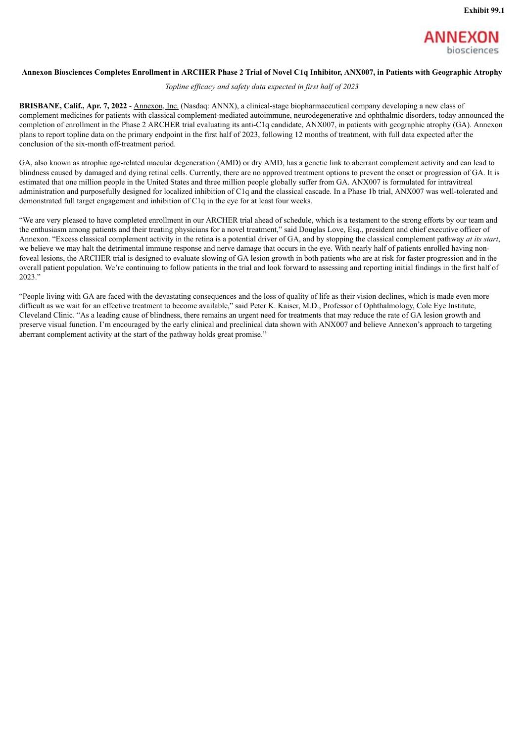

## <span id="page-3-0"></span>Annexon Biosciences Completes Enrollment in ARCHER Phase 2 Trial of Novel C1q Inhibitor, ANX007, in Patients with Geographic Atrophy

### *Topline ef icacy and safety data expected in first half of 2023*

**BRISBANE, Calif., Apr. 7, 2022** - Annexon, Inc. (Nasdaq: ANNX), a clinical-stage biopharmaceutical company developing a new class of complement medicines for patients with classical complement-mediated autoimmune, neurodegenerative and ophthalmic disorders, today announced the completion of enrollment in the Phase 2 ARCHER trial evaluating its anti-C1q candidate, ANX007, in patients with geographic atrophy (GA). Annexon plans to report topline data on the primary endpoint in the first half of 2023, following 12 months of treatment, with full data expected after the conclusion of the six-month off-treatment period.

GA, also known as atrophic age-related macular degeneration (AMD) or dry AMD, has a genetic link to aberrant complement activity and can lead to blindness caused by damaged and dying retinal cells. Currently, there are no approved treatment options to prevent the onset or progression of GA. It is estimated that one million people in the United States and three million people globally suffer from GA. ANX007 is formulated for intravitreal administration and purposefully designed for localized inhibition of C1q and the classical cascade. In a Phase 1b trial, ANX007 was well-tolerated and demonstrated full target engagement and inhibition of C1q in the eye for at least four weeks.

"We are very pleased to have completed enrollment in our ARCHER trial ahead of schedule, which is a testament to the strong efforts by our team and the enthusiasm among patients and their treating physicians for a novel treatment," said Douglas Love, Esq., president and chief executive officer of Annexon. "Excess classical complement activity in the retina is a potential driver of GA, and by stopping the classical complement pathway *at its start*, we believe we may halt the detrimental immune response and nerve damage that occurs in the eye. With nearly half of patients enrolled having nonfoveal lesions, the ARCHER trial is designed to evaluate slowing of GA lesion growth in both patients who are at risk for faster progression and in the overall patient population. We're continuing to follow patients in the trial and look forward to assessing and reporting initial findings in the first half of 2023."

"People living with GA are faced with the devastating consequences and the loss of quality of life as their vision declines, which is made even more difficult as we wait for an effective treatment to become available," said Peter K. Kaiser, M.D., Professor of Ophthalmology, Cole Eye Institute, Cleveland Clinic. "As a leading cause of blindness, there remains an urgent need for treatments that may reduce the rate of GA lesion growth and preserve visual function. I'm encouraged by the early clinical and preclinical data shown with ANX007 and believe Annexon's approach to targeting aberrant complement activity at the start of the pathway holds great promise."